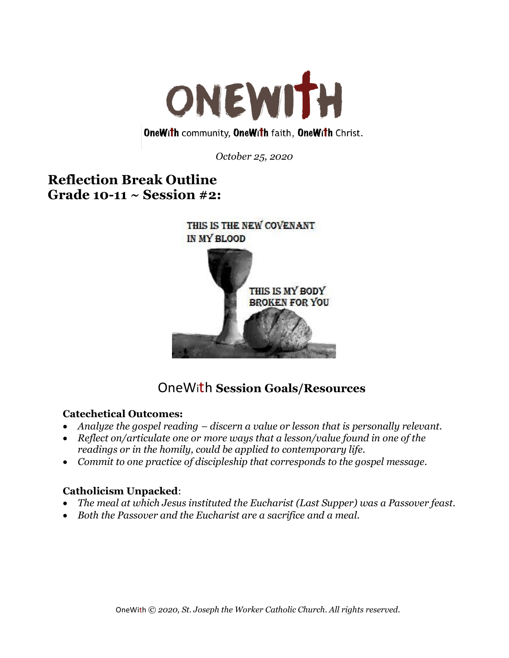

**OneWith community, OneWith faith, OneWith Christ.** 

*October 25, 2020*

# **Reflection Break Outline Grade 10-11 ~ Session #2:**



# OneWith **Session Goals/Resources**

#### **Catechetical Outcomes:**

- *Analyze the gospel reading – discern a value or lesson that is personally relevant.*
- *Reflect on/articulate one or more ways that a lesson/value found in one of the readings or in the homily, could be applied to contemporary life.*
- *Commit to one practice of discipleship that corresponds to the gospel message.*

### **Catholicism Unpacked**:

- *The meal at which Jesus instituted the Eucharist (Last Supper) was a Passover feast.*
- *Both the Passover and the Eucharist are a sacrifice and a meal.*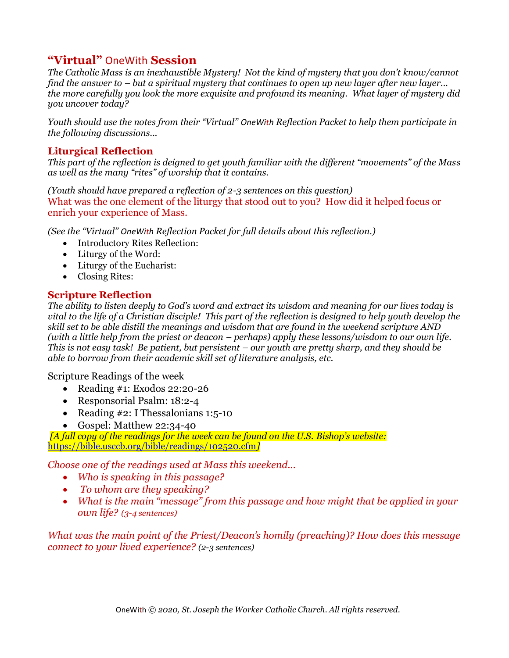### **"Virtual"** OneWith **Session**

*The Catholic Mass is an inexhaustible Mystery! Not the kind of mystery that you don't know/cannot find the answer to – but a spiritual mystery that continues to open up new layer after new layer... the more carefully you look the more exquisite and profound its meaning. What layer of mystery did you uncover today?*

*Youth should use the notes from their "Virtual" OneWith Reflection Packet to help them participate in the following discussions...*

#### **Liturgical Reflection**

*This part of the reflection is deigned to get youth familiar with the different "movements" of the Mass as well as the many "rites" of worship that it contains.* 

*(Youth should have prepared a reflection of 2-3 sentences on this question)* What was the one element of the liturgy that stood out to you? How did it helped focus or enrich your experience of Mass.

*(See the "Virtual" OneWith Reflection Packet for full details about this reflection.)*

- Introductory Rites Reflection:
- Liturgy of the Word:
- Liturgy of the Eucharist:
- Closing Rites:

### **Scripture Reflection**

*The ability to listen deeply to God's word and extract its wisdom and meaning for our lives today is vital to the life of a Christian disciple! This part of the reflection is designed to help youth develop the skill set to be able distill the meanings and wisdom that are found in the weekend scripture AND (with a little help from the priest or deacon – perhaps) apply these lessons/wisdom to our own life. This is not easy task! Be patient, but persistent – our youth are pretty sharp, and they should be able to borrow from their academic skill set of literature analysis, etc.*

Scripture Readings of the week

- Reading #1: Exodos 22:20-26
- Responsorial Psalm: 18:2-4
- Reading #2: I Thessalonians 1:5-10
- Gospel: Matthew 22:34-40

*[A full copy of the readings for the week can be found on the U.S. Bishop's website:* <https://bible.usccb.org/bible/readings/102520.cfm>*]*

*Choose one of the readings used at Mass this weekend...* 

- *Who is speaking in this passage?*
- *To whom are they speaking?*
- *What is the main "message" from this passage and how might that be applied in your own life? (3-4 sentences)*

*What was the main point of the Priest/Deacon's homily (preaching)? How does this message connect to your lived experience? (2-3 sentences)*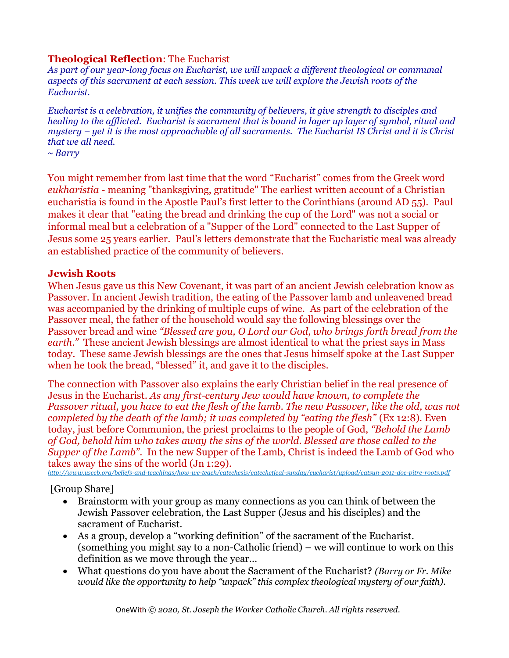#### **Theological Reflection**: The Eucharist

*As part of our year-long focus on Eucharist, we will unpack a different theological 0r communal aspects of this sacrament at each session. This week we will explore the Jewish roots of the Eucharist.* 

*Eucharist is a celebration, it unifies the community of believers, it give strength to disciples and healing to the afflicted. Eucharist is sacrament that is bound in layer up layer of symbol, ritual and mystery – yet it is the most approachable of all sacraments. The Eucharist IS Christ and it is Christ that we all need.*

*~ Barry*

You might remember from last time that the word "Eucharist" comes from the Greek word *eukharistia* - meaning "thanksgiving, gratitude" The earliest written account of a Christian eucharistia is found in the Apostle Paul's first letter to the Corinthians (around AD 55). Paul makes it clear that "eating the bread and drinking the cup of the Lord" was not a social or informal meal but a celebration of a "Supper of the Lord" connected to the Last Supper of Jesus some 25 years earlier. Paul's letters demonstrate that the Eucharistic meal was already an established practice of the community of believers.

#### **Jewish Roots**

When Jesus gave us this New Covenant, it was part of an ancient Jewish celebration know as Passover. In ancient Jewish tradition, the eating of the Passover lamb and unleavened bread was accompanied by the drinking of multiple cups of wine. As part of the celebration of the Passover meal, the father of the household would say the following blessings over the Passover bread and wine *"Blessed are you, O Lord our God, who brings forth bread from the earth.*" These ancient Jewish blessings are almost identical to what the priest says in Mass today. These same Jewish blessings are the ones that Jesus himself spoke at the Last Supper when he took the bread, "blessed" it, and gave it to the disciples.

The connection with Passover also explains the early Christian belief in the real presence of Jesus in the Eucharist. *As any first-century Jew would have known, to complete the Passover ritual, you have to eat the flesh of the lamb. The new Passover, like the old, was not completed by the death of the lamb; it was completed by "eating the flesh"* (Ex 12:8). Even today, just before Communion, the priest proclaims to the people of God, *"Behold the Lamb of God, behold him who takes away the sins of the world. Blessed are those called to the Supper of the Lamb"*. In the new Supper of the Lamb, Christ is indeed the Lamb of God who takes away the sins of the world (Jn 1:29).

*<http://www.usccb.org/beliefs-and-teachings/how-we-teach/catechesis/catechetical-sunday/eucharist/upload/catsun-2011-doc-pitre-roots.pdf>*

[Group Share]

- Brainstorm with your group as many connections as you can think of between the Jewish Passover celebration, the Last Supper (Jesus and his disciples) and the sacrament of Eucharist.
- As a group, develop a "working definition" of the sacrament of the Eucharist. (something you might say to a non-Catholic friend) – we will continue to work on this definition as we move through the year…
- What questions do you have about the Sacrament of the Eucharist? *(Barry or Fr. Mike would like the opportunity to help "unpack" this complex theological mystery of our faith).*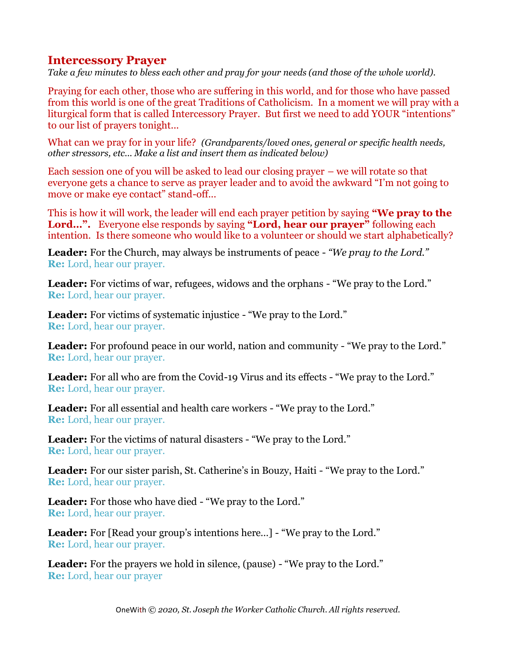### **Intercessory Prayer**

*Take a few minutes to bless each other and pray for your needs (and those of the whole world).*

Praying for each other, those who are suffering in this world, and for those who have passed from this world is one of the great Traditions of Catholicism. In a moment we will pray with a liturgical form that is called Intercessory Prayer. But first we need to add YOUR "intentions" to our list of prayers tonight...

What can we pray for in your life? *(Grandparents/loved ones, general or specific health needs, other stressors, etc... Make a list and insert them as indicated below)*

Each session one of you will be asked to lead our closing prayer – we will rotate so that everyone gets a chance to serve as prayer leader and to avoid the awkward "I'm not going to move or make eye contact" stand-off...

This is how it will work, the leader will end each prayer petition by saying **"We pray to the Lord…".** Everyone else responds by saying **"Lord, hear our prayer"** following each intention. Is there someone who would like to a volunteer or should we start alphabetically?

**Leader:** For the Church, may always be instruments of peace - *"We pray to the Lord."* **Re:** Lord, hear our prayer.

**Leader:** For victims of war, refugees, widows and the orphans - "We pray to the Lord." **Re:** Lord, hear our prayer.

**Leader:** For victims of systematic injustice - "We pray to the Lord." **Re:** Lord, hear our prayer.

**Leader:** For profound peace in our world, nation and community - "We pray to the Lord." **Re:** Lord, hear our prayer.

**Leader:** For all who are from the Covid-19 Virus and its effects - "We pray to the Lord." **Re:** Lord, hear our prayer.

**Leader:** For all essential and health care workers - "We pray to the Lord." **Re:** Lord, hear our prayer.

**Leader:** For the victims of natural disasters - "We pray to the Lord." **Re:** Lord, hear our prayer.

**Leader:** For our sister parish, St. Catherine's in Bouzy, Haiti - "We pray to the Lord." **Re:** Lord, hear our prayer.

**Leader:** For those who have died - "We pray to the Lord." **Re:** Lord, hear our prayer.

**Leader:** For [Read your group's intentions here…] - "We pray to the Lord." **Re:** Lord, hear our prayer.

**Leader:** For the prayers we hold in silence, (pause) - "We pray to the Lord." **Re:** Lord, hear our prayer